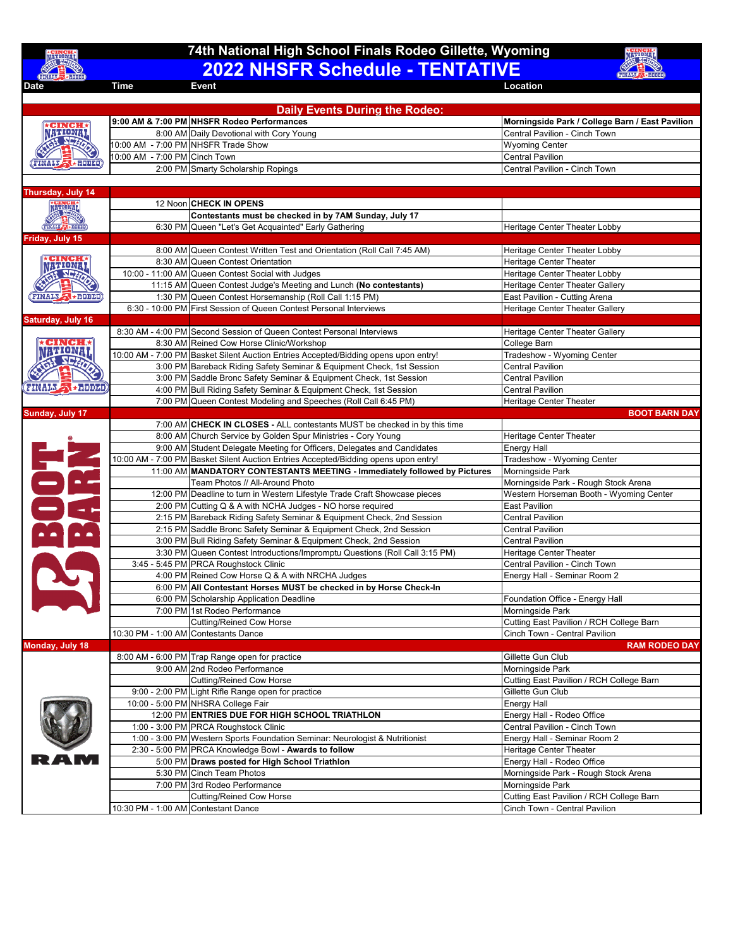## **2022 NHSFR Schedule - TENTATIVE 74th National High School Finals Rodeo Gillette, Wyoming**



**Date Time Event Location** 

| <b>Daily Events During the Rodeo:</b> |                                      |                                                                                                                                                                  |                                                             |  |  |
|---------------------------------------|--------------------------------------|------------------------------------------------------------------------------------------------------------------------------------------------------------------|-------------------------------------------------------------|--|--|
|                                       |                                      | 9:00 AM & 7:00 PM NHSFR Rodeo Performances                                                                                                                       | Morningside Park / College Barn / East Pavilion             |  |  |
| <b>WIONAI</b>                         |                                      | 8:00 AM Daily Devotional with Cory Young                                                                                                                         | Central Pavilion - Cinch Town                               |  |  |
|                                       |                                      | 10:00 AM - 7:00 PM NHSFR Trade Show                                                                                                                              | <b>Wyoming Center</b>                                       |  |  |
|                                       | 10:00 AM - 7:00 PM Cinch Town        |                                                                                                                                                                  | <b>Central Pavilion</b>                                     |  |  |
| 大豆中耳<br><b>FINALS</b>                 |                                      | 2:00 PM Smarty Scholarship Ropings                                                                                                                               | Central Pavilion - Cinch Town                               |  |  |
|                                       |                                      |                                                                                                                                                                  |                                                             |  |  |
| <b>Thursday, July 14</b>              |                                      |                                                                                                                                                                  |                                                             |  |  |
| <b>NATIONAL</b>                       |                                      | 12 Noon CHECK IN OPENS                                                                                                                                           |                                                             |  |  |
|                                       |                                      | Contestants must be checked in by 7AM Sunday, July 17                                                                                                            |                                                             |  |  |
| <b>FINALS &amp; RODED</b>             |                                      | 6:30 PM Queen "Let's Get Acquainted" Early Gathering                                                                                                             | Heritage Center Theater Lobby                               |  |  |
| Friday, July 15                       |                                      |                                                                                                                                                                  |                                                             |  |  |
| : TIUNIN                              |                                      | 8:00 AM Queen Contest Written Test and Orientation (Roll Call 7:45 AM)                                                                                           | Heritage Center Theater Lobby                               |  |  |
|                                       |                                      | 8:30 AM Queen Contest Orientation                                                                                                                                | <b>Heritage Center Theater</b>                              |  |  |
|                                       |                                      | 10:00 - 11:00 AM Queen Contest Social with Judges                                                                                                                | Heritage Center Theater Lobby                               |  |  |
|                                       |                                      | 11:15 AM Queen Contest Judge's Meeting and Lunch (No contestants)                                                                                                | Heritage Center Theater Gallery                             |  |  |
| <b>FINALS</b><br><b>SARDDED</b>       |                                      | 1:30 PM Queen Contest Horsemanship (Roll Call 1:15 PM)                                                                                                           | East Pavilion - Cutting Arena                               |  |  |
|                                       |                                      | 6:30 - 10:00 PM First Session of Queen Contest Personal Interviews                                                                                               | Heritage Center Theater Gallery                             |  |  |
| Saturday, July 16                     |                                      |                                                                                                                                                                  |                                                             |  |  |
|                                       |                                      | 8:30 AM - 4:00 PM Second Session of Queen Contest Personal Interviews                                                                                            | Heritage Center Theater Gallery                             |  |  |
|                                       |                                      | 8:30 AM Reined Cow Horse Clinic/Workshop                                                                                                                         | College Barn                                                |  |  |
| wowa                                  |                                      | 10:00 AM - 7:00 PM Basket Silent Auction Entries Accepted/Bidding opens upon entry!                                                                              | Tradeshow - Wyoming Center                                  |  |  |
|                                       |                                      | 3:00 PM Bareback Riding Safety Seminar & Equipment Check, 1st Session                                                                                            | <b>Central Pavilion</b>                                     |  |  |
|                                       |                                      | 3:00 PM Saddle Bronc Safety Seminar & Equipment Check, 1st Session                                                                                               | <b>Central Pavilion</b>                                     |  |  |
| <b>FINALS A + RODED</b>               |                                      | 4:00 PM Bull Riding Safety Seminar & Equipment Check, 1st Session                                                                                                | <b>Central Pavilion</b>                                     |  |  |
|                                       |                                      | 7:00 PM Queen Contest Modeling and Speeches (Roll Call 6:45 PM)                                                                                                  | Heritage Center Theater                                     |  |  |
| Sunday, July 17                       |                                      |                                                                                                                                                                  | <b>BOOT BARN DAY</b>                                        |  |  |
|                                       |                                      | 7:00 AM CHECK IN CLOSES - ALL contestants MUST be checked in by this time                                                                                        |                                                             |  |  |
|                                       |                                      | 8:00 AM Church Service by Golden Spur Ministries - Cory Young                                                                                                    | Heritage Center Theater                                     |  |  |
| DR                                    |                                      | 9:00 AM Student Delegate Meeting for Officers, Delegates and Candidates                                                                                          | <b>Energy Hall</b>                                          |  |  |
|                                       |                                      | 10:00 AM - 7:00 PM Basket Silent Auction Entries Accepted/Bidding opens upon entry!<br>11:00 AM MANDATORY CONTESTANTS MEETING - Immediately followed by Pictures | Tradeshow - Wyoming Center<br>Morningside Park              |  |  |
|                                       |                                      | Team Photos // All-Around Photo                                                                                                                                  | Morningside Park - Rough Stock Arena                        |  |  |
|                                       |                                      | 12:00 PM Deadline to turn in Western Lifestyle Trade Craft Showcase pieces                                                                                       | Western Horseman Booth - Wyoming Center                     |  |  |
|                                       |                                      | 2:00 PM Cutting Q & A with NCHA Judges - NO horse required                                                                                                       | <b>East Pavilion</b>                                        |  |  |
|                                       |                                      | 2:15 PM Bareback Riding Safety Seminar & Equipment Check, 2nd Session                                                                                            | <b>Central Pavilion</b>                                     |  |  |
|                                       |                                      | 2:15 PM Saddle Bronc Safety Seminar & Equipment Check, 2nd Session                                                                                               | <b>Central Pavilion</b>                                     |  |  |
|                                       |                                      | 3:00 PM Bull Riding Safety Seminar & Equipment Check, 2nd Session                                                                                                | <b>Central Pavilion</b>                                     |  |  |
|                                       |                                      | 3:30 PM Queen Contest Introductions/Impromptu Questions (Roll Call 3:15 PM)                                                                                      | Heritage Center Theater                                     |  |  |
|                                       |                                      | 3:45 - 5:45 PM PRCA Roughstock Clinic                                                                                                                            | Central Pavilion - Cinch Town                               |  |  |
|                                       |                                      | 4:00 PM Reined Cow Horse Q & A with NRCHA Judges                                                                                                                 | Energy Hall - Seminar Room 2                                |  |  |
|                                       |                                      | 6:00 PM All Contestant Horses MUST be checked in by Horse Check-In                                                                                               |                                                             |  |  |
|                                       |                                      | 6:00 PM Scholarship Application Deadline                                                                                                                         | Foundation Office - Energy Hall                             |  |  |
|                                       |                                      | 7:00 PM 1st Rodeo Performance                                                                                                                                    | Morningside Park                                            |  |  |
|                                       |                                      | <b>Cutting/Reined Cow Horse</b>                                                                                                                                  | Cutting East Pavilion / RCH College Barn                    |  |  |
|                                       | 10:30 PM - 1:00 AM Contestants Dance |                                                                                                                                                                  | Cinch Town - Central Pavilion                               |  |  |
| Monday, July 18                       |                                      |                                                                                                                                                                  | <b>RAM RODEO DAY</b>                                        |  |  |
|                                       |                                      | 8:00 AM - 6:00 PM Trap Range open for practice                                                                                                                   | Gillette Gun Club                                           |  |  |
|                                       |                                      | 9:00 AM 2nd Rodeo Performance                                                                                                                                    | Morningside Park                                            |  |  |
|                                       |                                      | <b>Cutting/Reined Cow Horse</b>                                                                                                                                  | Cutting East Pavilion / RCH College Barn                    |  |  |
|                                       |                                      | 9:00 - 2:00 PM Light Rifle Range open for practice                                                                                                               | Gillette Gun Club                                           |  |  |
|                                       |                                      | 10:00 - 5:00 PM NHSRA College Fair                                                                                                                               | <b>Energy Hall</b>                                          |  |  |
|                                       |                                      | 12:00 PM ENTRIES DUE FOR HIGH SCHOOL TRIATHLON<br>1:00 - 3:00 PM PRCA Roughstock Clinic                                                                          | Energy Hall - Rodeo Office<br>Central Pavilion - Cinch Town |  |  |
|                                       |                                      | 1:00 - 3:00 PM Western Sports Foundation Seminar: Neurologist & Nutritionist                                                                                     | Energy Hall - Seminar Room 2                                |  |  |
|                                       |                                      | 2:30 - 5:00 PM PRCA Knowledge Bowl - Awards to follow                                                                                                            | Heritage Center Theater                                     |  |  |
|                                       |                                      | 5:00 PM Draws posted for High School Triathlon                                                                                                                   | Energy Hall - Rodeo Office                                  |  |  |
|                                       |                                      | 5:30 PM Cinch Team Photos                                                                                                                                        | Morningside Park - Rough Stock Arena                        |  |  |
|                                       |                                      | 7:00 PM 3rd Rodeo Performance                                                                                                                                    | Morningside Park                                            |  |  |
|                                       |                                      | <b>Cutting/Reined Cow Horse</b>                                                                                                                                  | Cutting East Pavilion / RCH College Barn                    |  |  |
|                                       | 10:30 PM - 1:00 AM Contestant Dance  |                                                                                                                                                                  | Cinch Town - Central Pavilion                               |  |  |